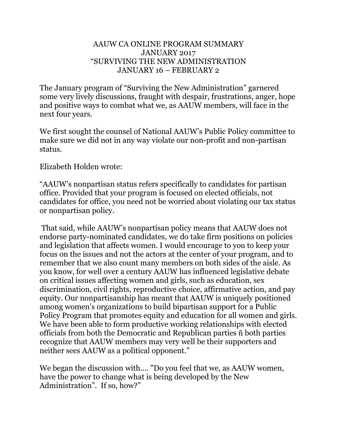## AAUW CA ONLINE PROGRAM SUMMARY JANUARY 2017 "SURVIVING THE NEW ADMINISTRATION JANUARY 16 – FEBRUARY 2

The January program of "Surviving the New Administration" garnered some very lively discussions, fraught with despair, frustrations, anger, hope and positive ways to combat what we, as AAUW members, will face in the next four years.

We first sought the counsel of National AAUW's Public Policy committee to make sure we did not in any way violate our non-profit and non-partisan status.

Elizabeth Holden wrote:

"AAUW's nonpartisan status refers specifically to candidates for partisan office. Provided that your program is focused on elected officials, not candidates for office, you need not be worried about violating our tax status or nonpartisan policy.

That said, while AAUW's nonpartisan policy means that AAUW does not endorse party-nominated candidates, we do take firm positions on policies and legislation that affects women. I would encourage to you to keep your focus on the issues and not the actors at the center of your program, and to remember that we also count many members on both sides of the aisle. As you know, for well over a century AAUW has influenced legislative debate on critical issues affecting women and girls, such as education, sex discrimination, civil rights, reproductive choice, affirmative action, and pay equity. Our nonpartisanship has meant that AAUW is uniquely positioned among women's organizations to build bipartisan support for a Public Policy Program that promotes equity and education for all women and girls. We have been able to form productive working relationships with elected officials from both the Democratic and Republican parties ñ both parties recognize that AAUW members may very well be their supporters and neither sees AAUW as a political opponent."

We began the discussion with.... "Do you feel that we, as AAUW women, have the power to change what is being developed by the New Administration". If so, how?"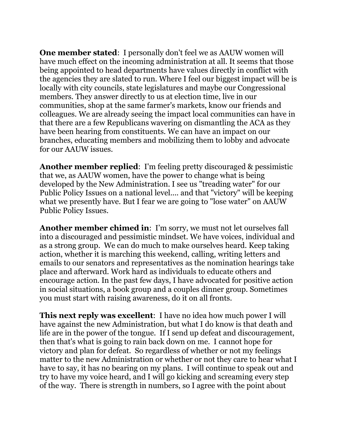**One member stated:** I personally don't feel we as AAUW women will have much effect on the incoming administration at all. It seems that those being appointed to head departments have values directly in conflict with the agencies they are slated to run. Where I feel our biggest impact will be is locally with city councils, state legislatures and maybe our Congressional members. They answer directly to us at election time, live in our communities, shop at the same farmer's markets, know our friends and colleagues. We are already seeing the impact local communities can have in that there are a few Republicans wavering on dismantling the ACA as they have been hearing from constituents. We can have an impact on our branches, educating members and mobilizing them to lobby and advocate for our AAUW issues.

**Another member replied**: I'm feeling pretty discouraged & pessimistic that we, as AAUW women, have the power to change what is being developed by the New Administration. I see us "treading water" for our Public Policy Issues on a national level.... and that "victory" will be keeping what we presently have. But I fear we are going to "lose water" on AAUW Public Policy Issues.

**Another member chimed in**: I'm sorry, we must not let ourselves fall into a discouraged and pessimistic mindset. We have voices, individual and as a strong group. We can do much to make ourselves heard. Keep taking action, whether it is marching this weekend, calling, writing letters and emails to our senators and representatives as the nomination hearings take place and afterward. Work hard as individuals to educate others and encourage action. In the past few days, I have advocated for positive action in social situations, a book group and a couples dinner group. Sometimes you must start with raising awareness, do it on all fronts.

**This next reply was excellent**: I have no idea how much power I will have against the new Administration, but what I do know is that death and life are in the power of the tongue. If I send up defeat and discouragement, then that's what is going to rain back down on me. I cannot hope for victory and plan for defeat. So regardless of whether or not my feelings matter to the new Administration or whether or not they care to hear what I have to say, it has no bearing on my plans. I will continue to speak out and try to have my voice heard, and I will go kicking and screaming every step of the way. There is strength in numbers, so I agree with the point about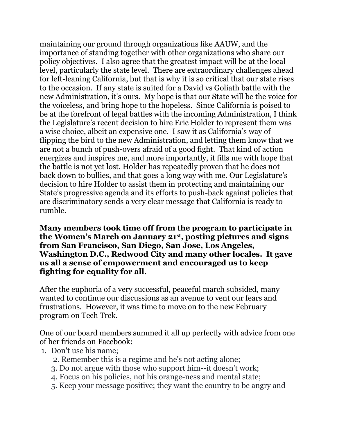maintaining our ground through organizations like AAUW, and the importance of standing together with other organizations who share our policy objectives. I also agree that the greatest impact will be at the local level, particularly the state level. There are extraordinary challenges ahead for left-leaning California, but that is why it is so critical that our state rises to the occasion. If any state is suited for a David vs Goliath battle with the new Administration, it's ours. My hope is that our State will be the voice for the voiceless, and bring hope to the hopeless. Since California is poised to be at the forefront of legal battles with the incoming Administration, I think the Legislature's recent decision to hire Eric Holder to represent them was a wise choice, albeit an expensive one. I saw it as California's way of flipping the bird to the new Administration, and letting them know that we are not a bunch of push-overs afraid of a good fight. That kind of action energizes and inspires me, and more importantly, it fills me with hope that the battle is not yet lost. Holder has repeatedly proven that he does not back down to bullies, and that goes a long way with me. Our Legislature's decision to hire Holder to assist them in protecting and maintaining our State's progressive agenda and its efforts to push-back against policies that are discriminatory sends a very clear message that California is ready to rumble.

**Many members took time off from the program to participate in the Women's March on January 21st, posting pictures and signs from San Francisco, San Diego, San Jose, Los Angeles, Washington D.C., Redwood City and many other locales. It gave us all a sense of empowerment and encouraged us to keep fighting for equality for all.** 

After the euphoria of a very successful, peaceful march subsided, many wanted to continue our discussions as an avenue to vent our fears and frustrations. However, it was time to move on to the new February program on Tech Trek.

One of our board members summed it all up perfectly with advice from one of her friends on Facebook:

- 1. Don't use his name;
	- 2. Remember this is a regime and he's not acting alone;
	- 3. Do not argue with those who support him--it doesn't work;
	- 4. Focus on his policies, not his orange-ness and mental state;
	- 5. Keep your message positive; they want the country to be angry and